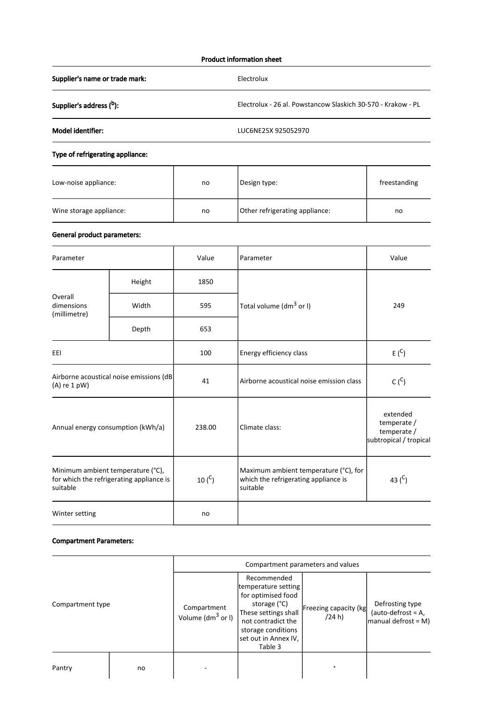## Product information sheet

Supplier's name or trade mark: Electrolux

Supplier's address (b): b Electrolux - 26 al. Powstancow Slaskich 30-570 - Krakow - PL

Model identifier: LUC6NE25X 925052970

# Type of refrigerating appliance:

| Low-noise appliance:    | no | Design type:                   | freestanding |
|-------------------------|----|--------------------------------|--------------|
| Wine storage appliance: | no | Other refrigerating appliance: | no           |

# General product parameters:

| Parameter                                                                                 |        | Value       | Parameter                                                                                 | Value                                                            |
|-------------------------------------------------------------------------------------------|--------|-------------|-------------------------------------------------------------------------------------------|------------------------------------------------------------------|
| Overall<br>dimensions<br>(millimetre)                                                     | Height | 1850        |                                                                                           | 249                                                              |
|                                                                                           | Width  | 595         | Total volume (dm <sup>3</sup> or I)                                                       |                                                                  |
|                                                                                           | Depth  | 653         |                                                                                           |                                                                  |
| EEI                                                                                       |        | 100         | Energy efficiency class                                                                   | E(S)                                                             |
| Airborne acoustical noise emissions (dB<br>$(A)$ re 1 pW)                                 |        | 41          | $C(^{C})$<br>Airborne acoustical noise emission class                                     |                                                                  |
| Annual energy consumption (kWh/a)                                                         |        | 238.00      | Climate class:                                                                            | extended<br>temperate /<br>temperate /<br>subtropical / tropical |
| Minimum ambient temperature (°C),<br>for which the refrigerating appliance is<br>suitable |        | 10 $(^{C})$ | Maximum ambient temperature (°C), for<br>which the refrigerating appliance is<br>suitable | 43 $(C)$                                                         |
| Winter setting                                                                            |        | no          |                                                                                           |                                                                  |

### Compartment Parameters:

|                  |    | Compartment parameters and values    |                                                                                                                                                                                 |                                 |                                                                 |
|------------------|----|--------------------------------------|---------------------------------------------------------------------------------------------------------------------------------------------------------------------------------|---------------------------------|-----------------------------------------------------------------|
| Compartment type |    | Compartment<br>Volume ( $dm^3$ or I) | Recommended<br>temperature setting<br>for optimised food<br>storage (°C)<br>These settings shall<br>not contradict the<br>storage conditions<br>set out in Annex IV,<br>Table 3 | Freezing capacity (kg<br>(24 h) | Defrosting type<br>(auto-defrost = $A$ ,<br>manual defrost = M) |
| Pantry           | no |                                      |                                                                                                                                                                                 |                                 |                                                                 |